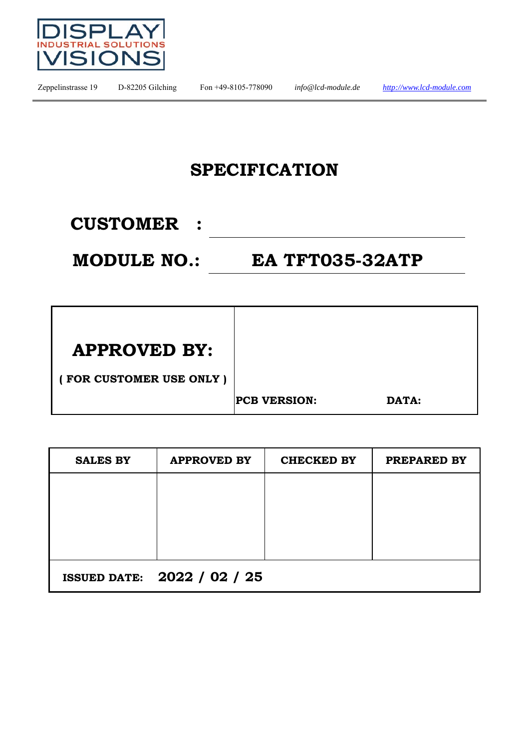

### **SPECIFICATION**

### **CUSTOMER :**

**MODULE NO.: EA TFT035-32ATP** 

| <b>APPROVED BY:</b>     |                     |       |
|-------------------------|---------------------|-------|
| FOR CUSTOMER USE ONLY ) |                     |       |
|                         | <b>PCB VERSION:</b> | DATA: |

| <b>SALES BY</b> | <b>APPROVED BY</b>                 | <b>CHECKED BY</b> | PREPARED BY |
|-----------------|------------------------------------|-------------------|-------------|
|                 |                                    |                   |             |
|                 |                                    |                   |             |
|                 |                                    |                   |             |
|                 |                                    |                   |             |
|                 | <b>ISSUED DATE: 2022 / 02 / 25</b> |                   |             |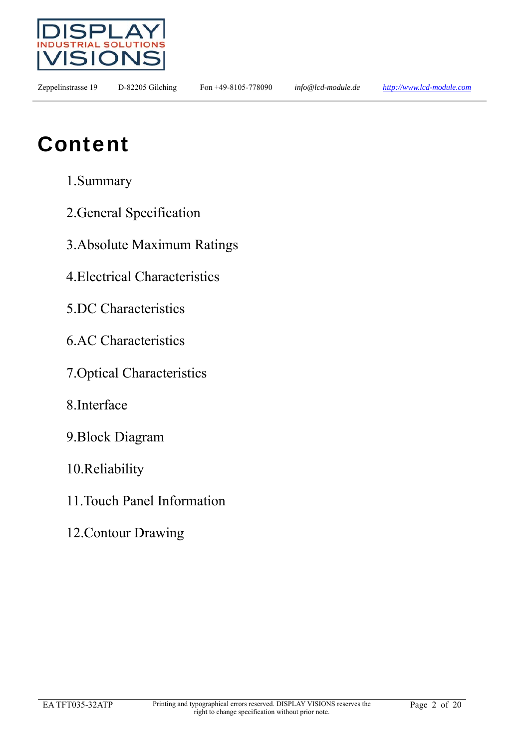

## Content

- 1.Summary
- 2.General Specification
- 3.Absolute Maximum Ratings
- 4.Electrical Characteristics
- 5.DC Characteristics
- 6.AC Characteristics
- 7.Optical Characteristics
- 8.Interface
- 9.Block Diagram
- 10.Reliability
- 11.Touch Panel Information
- 12.Contour Drawing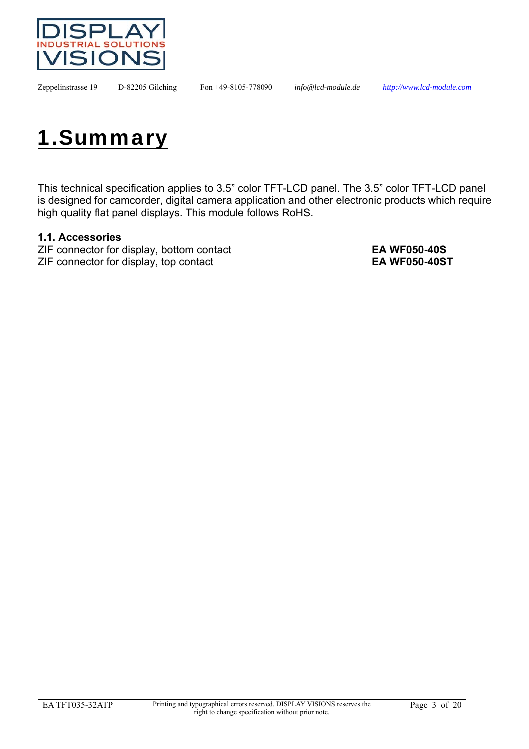



This technical specification applies to 3.5" color TFT-LCD panel. The 3.5" color TFT-LCD panel is designed for camcorder, digital camera application and other electronic products which require high quality flat panel displays. This module follows RoHS.

#### **1.1. Accessories**

ZIF connector for display, bottom contact **EA WF050-40S** ZIF connector for display, top contact **EA WF050-40ST**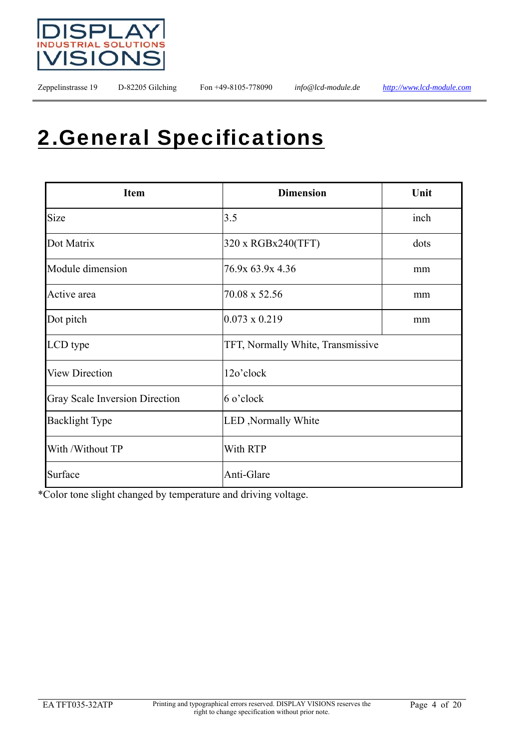

## 2.General Specifications

| <b>Item</b>                    | <b>Dimension</b>                  | Unit |
|--------------------------------|-----------------------------------|------|
| Size                           | 3.5                               | inch |
| Dot Matrix                     | 320 x RGBx240(TFT)                | dots |
| Module dimension               | 76.9x 63.9x 4.36                  | mm   |
| Active area                    | 70.08 x 52.56                     | mm   |
| Dot pitch                      | $0.073 \times 0.219$              | mm   |
| LCD type                       | TFT, Normally White, Transmissive |      |
| <b>View Direction</b>          | 12o'clock                         |      |
| Gray Scale Inversion Direction | 6 o'clock                         |      |
| <b>Backlight Type</b>          | LED, Normally White               |      |
| With /Without TP               | With RTP                          |      |
| Surface                        | Anti-Glare                        |      |

\*Color tone slight changed by temperature and driving voltage.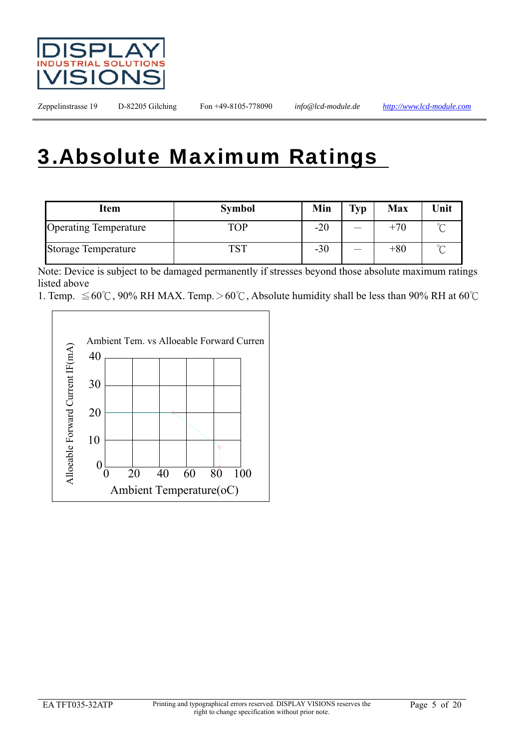

## 3.Absolute Maximum Ratings

| Item                         | <b>Symbol</b> | Min   | <b>Typ</b> | <b>Max</b> | Unit    |
|------------------------------|---------------|-------|------------|------------|---------|
| <b>Operating Temperature</b> | TOP           | $-20$ |            | $+70$      | $\sim$  |
| <b>Storage Temperature</b>   | ጥሰጥ           | $-30$ |            | $+80$      | $\circ$ |

Note: Device is subject to be damaged permanently if stresses beyond those absolute maximum ratings listed above

<sup>1.</sup> Temp.  $\leq 60^{\circ}$ C, 90% RH MAX. Temp. > 60°C, Absolute humidity shall be less than 90% RH at 60°C

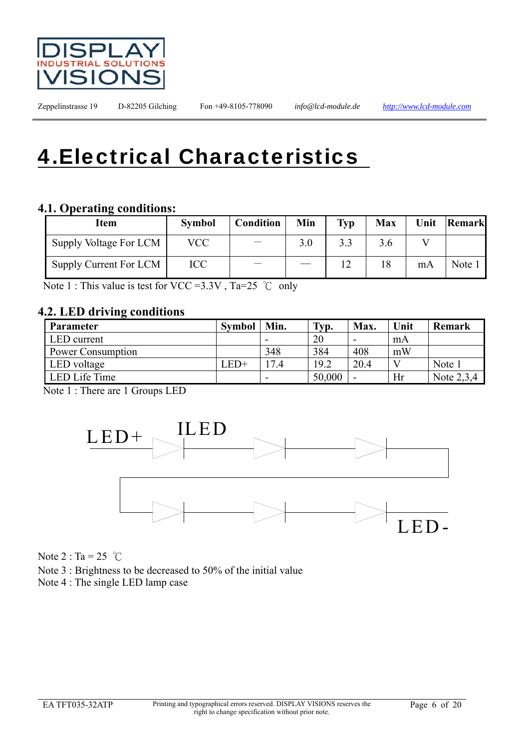

# 4.Electrical Characteristics

#### **4.1. Operating conditions:**

| Item                   | <b>Symbol</b> | <b>Condition</b> | Min | Typ | <b>Max</b> |    | Unit Remark |
|------------------------|---------------|------------------|-----|-----|------------|----|-------------|
| Supply Voltage For LCM | VCC           |                  | 3.0 |     | 3.6        |    |             |
| Supply Current For LCM | ICC           |                  |     |     | 18         | mA | Note 1      |

Note 1 : This value is test for VCC = 3.3V, Ta=25  $°C$  only

#### **4.2. LED driving conditions**

| <b>Parameter</b>  | <b>Symbol</b> | Min. | Typ.   | Max. | Unit | <b>Remark</b> |
|-------------------|---------------|------|--------|------|------|---------------|
| LED current       |               | -    | 20     | -    | mA   |               |
| Power Consumption |               | 348  | 384    | 408  | mW   |               |
| LED voltage       | $LED+$        | 17.4 | 19.2   | 20.4 |      | Note 1        |
| LED Life Time     |               |      | 50,000 |      | Hr   | Note 2,3,4    |

Note 1 : There are 1 Groups LED



Note  $2: Ta = 25$  °C

Note 3 : Brightness to be decreased to 50% of the initial value

Note 4 : The single LED lamp case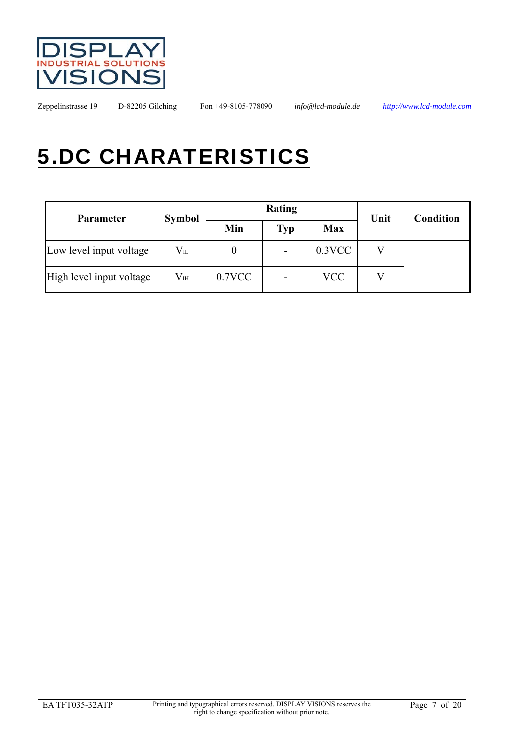

# 5.DC CHARATERISTICS

| <b>Parameter</b>         | <b>Symbol</b>    |           | Rating                   | Unit       | <b>Condition</b> |  |
|--------------------------|------------------|-----------|--------------------------|------------|------------------|--|
|                          |                  | Min       | <b>Typ</b>               | <b>Max</b> |                  |  |
| Low level input voltage  | $V_{\rm IL}$     |           | $\overline{\phantom{a}}$ | $0.3$ VCC  |                  |  |
| High level input voltage | $\rm V_{\rm IH}$ | $0.7$ VCC | $\overline{\phantom{a}}$ | <b>VCC</b> |                  |  |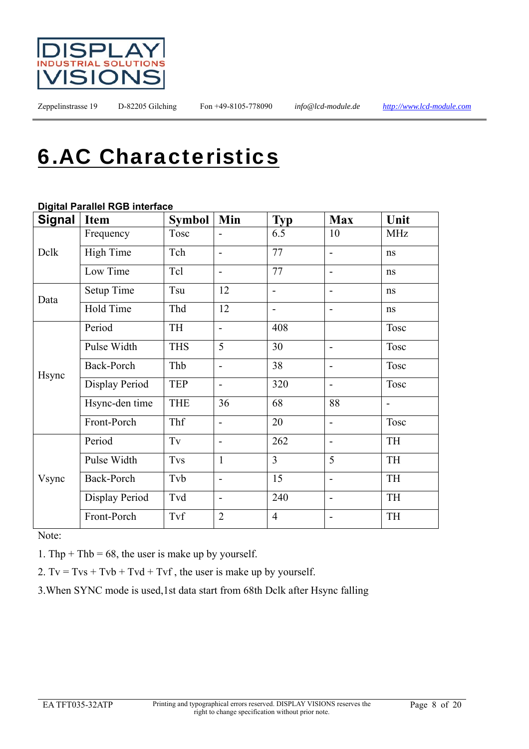

## 6.AC Characteristics

#### **Digital Parallel RGB interface**

| Item              | <b>Symbol</b>       | Min                          | <b>Typ</b>               | <b>Max</b>                   | Unit        |
|-------------------|---------------------|------------------------------|--------------------------|------------------------------|-------------|
| Frequency         | Tosc                | $\qquad \qquad \blacksquare$ | 6.5                      | 10                           | <b>MHz</b>  |
| <b>High Time</b>  | Tch                 | $\overline{a}$               | 77                       | $\blacksquare$               | ns          |
| Low Time          | Tcl                 | $\blacksquare$               | 77                       | $\blacksquare$               | ns          |
| <b>Setup Time</b> | Tsu                 | 12                           | $\overline{\phantom{a}}$ | $\blacksquare$               | ns          |
| Hold Time         | Thd                 | 12                           | $\overline{\phantom{0}}$ | $\qquad \qquad \blacksquare$ | ns          |
| Period            | TH                  | $\overline{\phantom{a}}$     | 408                      |                              | <b>Tosc</b> |
| Pulse Width       | <b>THS</b>          | 5                            | 30                       | $\blacksquare$               | <b>Tosc</b> |
| Back-Porch        | Thb                 | $\overline{\phantom{a}}$     | 38                       | $\blacksquare$               | <b>Tosc</b> |
| Display Period    | <b>TEP</b>          | $\overline{\phantom{a}}$     | 320                      | $\blacksquare$               | <b>Tosc</b> |
| Hsync-den time    | <b>THE</b>          | 36                           | 68                       | 88                           |             |
| Front-Porch       | Thf                 | $\blacksquare$               | 20                       | $\blacksquare$               | Tosc        |
| Period            | $\operatorname{Tv}$ | $\overline{\phantom{a}}$     | 262                      | $\blacksquare$               | TH          |
| Pulse Width       | <b>Tvs</b>          | $\mathbf{1}$                 | $\overline{3}$           | 5                            | TH          |
| Back-Porch        | Tvb                 | $\qquad \qquad \blacksquare$ | 15                       |                              | <b>TH</b>   |
| Display Period    | Tvd                 | $\blacksquare$               | 240                      | $\overline{a}$               | TH          |
| Front-Porch       | Tvf                 | $\overline{2}$               | $\overline{4}$           |                              | TH          |
|                   |                     |                              |                          |                              |             |

Note:

1. Thp + Thb = 68, the user is make up by yourself.

2.  $Tv = Tvs + Tvb + Tvd + Tvf$ , the user is make up by yourself.

3.When SYNC mode is used,1st data start from 68th Dclk after Hsync falling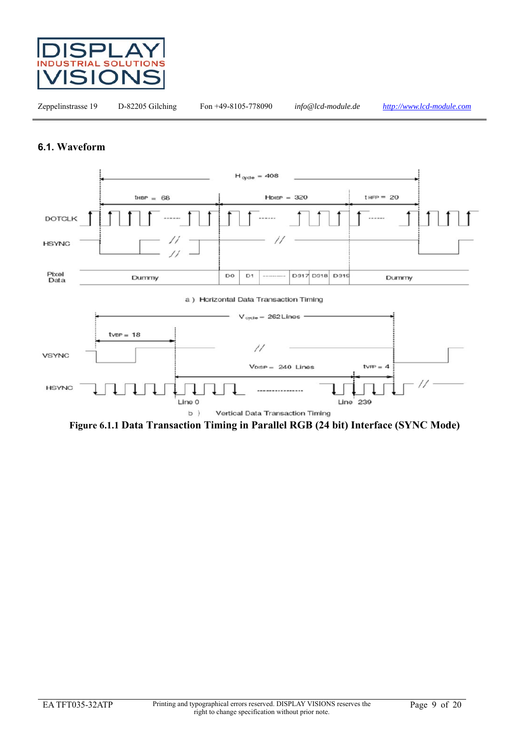

#### **6.1. Waveform**



**Figure 6.1.1 Data Transaction Timing in Parallel RGB (24 bit) Interface (SYNC Mode)**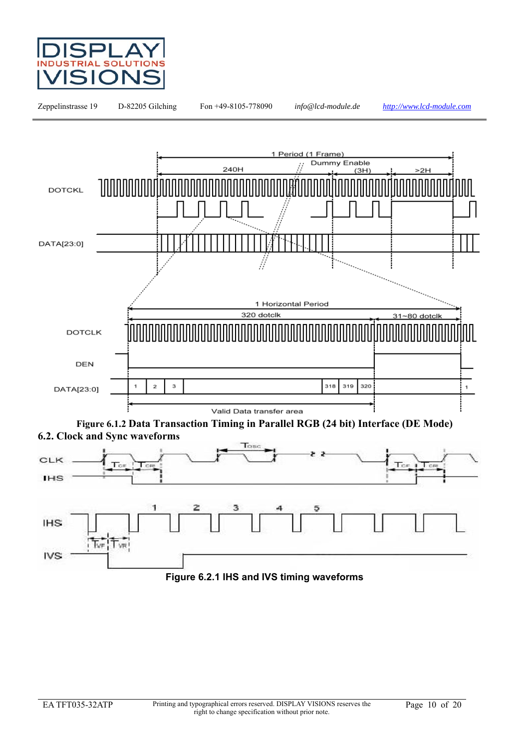



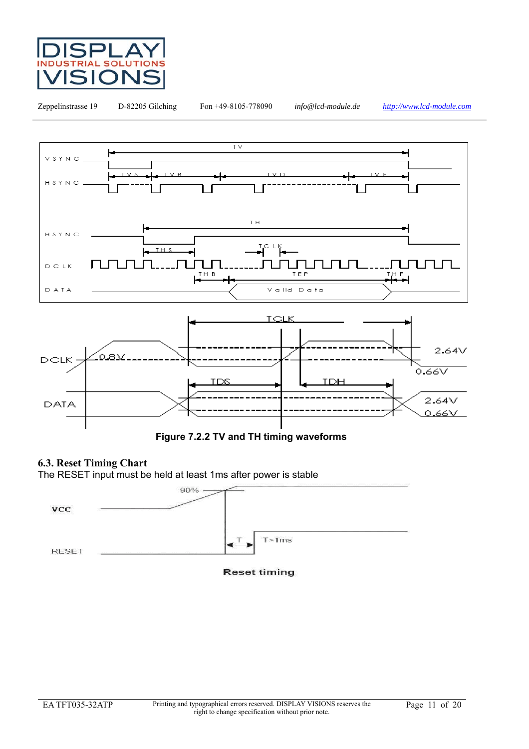



**Figure 7.2.2 TV and TH timing waveforms**

#### **6.3. Reset Timing Chart**

The RESET input must be held at least 1ms after power is stable



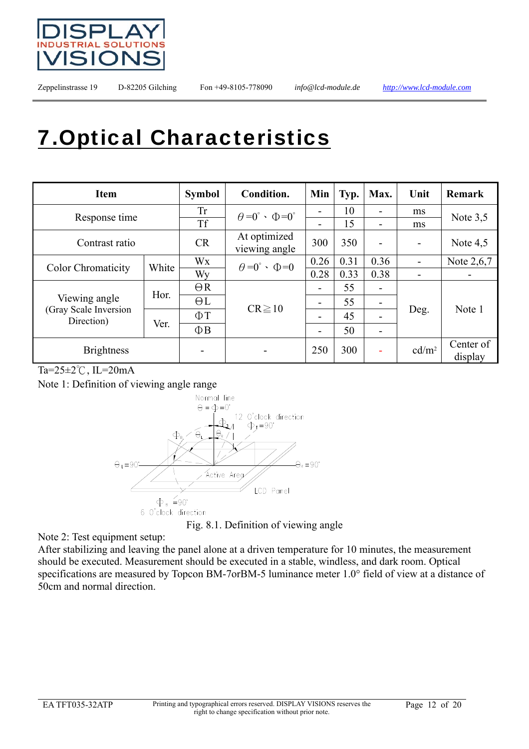

# 7.Optical Characteristics

| <b>Item</b>                         |       | <b>Symbol</b> | Condition.                                  | Min  | Typ. | Max. | Unit              | Remark               |
|-------------------------------------|-------|---------------|---------------------------------------------|------|------|------|-------------------|----------------------|
|                                     |       | <b>Tr</b>     | $\theta = 0^{\circ} \cdot \Phi = 0^{\circ}$ |      | 10   |      | ms                | Note $3,5$           |
| Response time                       |       | <b>Tf</b>     |                                             | ۰    | 15   |      | ms                |                      |
| Contrast ratio                      |       | CR            | At optimized<br>viewing angle               | 300  | 350  |      |                   | Note $4,5$           |
|                                     | White | Wx            | $\theta = 0^{\circ} \cdot \Phi = 0$         | 0.26 | 0.31 | 0.36 |                   | Note 2,6,7           |
| <b>Color Chromaticity</b>           |       | Wy            |                                             | 0.28 | 0.33 | 0.38 |                   |                      |
|                                     |       | $\Theta$ R    |                                             | -    | 55   |      |                   |                      |
| Viewing angle                       | Hor.  | $\Theta L$    | $CR \ge 10$                                 | ۰    | 55   | -    |                   | Note 1               |
| (Gray Scale Inversion<br>Direction) |       | $\Phi$ T      |                                             | -    | 45   |      | Deg.              |                      |
|                                     | Ver.  | $\Phi$ B      |                                             | ۰    | 50   |      |                   |                      |
| <b>Brightness</b>                   |       |               |                                             | 250  | 300  |      | cd/m <sup>2</sup> | Center of<br>display |

Ta=25±2℃, IL=20mA

Note 1: Definition of viewing angle range



Fig. 8.1. Definition of viewing angle

Note 2: Test equipment setup:

After stabilizing and leaving the panel alone at a driven temperature for 10 minutes, the measurement should be executed. Measurement should be executed in a stable, windless, and dark room. Optical specifications are measured by Topcon BM-7orBM-5 luminance meter 1.0° field of view at a distance of 50cm and normal direction.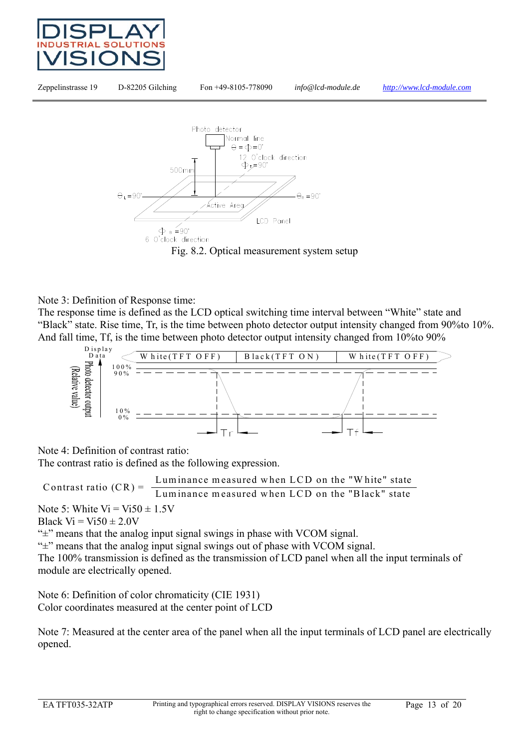





#### Note 3: Definition of Response time:

The response time is defined as the LCD optical switching time interval between "White" state and "Black" state. Rise time, Tr, is the time between photo detector output intensity changed from 90%to 10%. And fall time, Tf, is the time between photo detector output intensity changed from 10%to 90%



Note 4: Definition of contrast ratio:

The contrast ratio is defined as the following expression.

Luminance measured when LCD on the "W hite" state Contrast ratio (CR) = Luminance measured when LCD on the "Black" state

Note 5: White  $Vi = Vi50 \pm 1.5V$ Black  $Vi = Vi50 \pm 2.0V$ 

"±" means that the analog input signal swings in phase with VCOM signal.

"±" means that the analog input signal swings out of phase with VCOM signal.

The 100% transmission is defined as the transmission of LCD panel when all the input terminals of module are electrically opened.

Note 6: Definition of color chromaticity (CIE 1931) Color coordinates measured at the center point of LCD

Note 7: Measured at the center area of the panel when all the input terminals of LCD panel are electrically opened.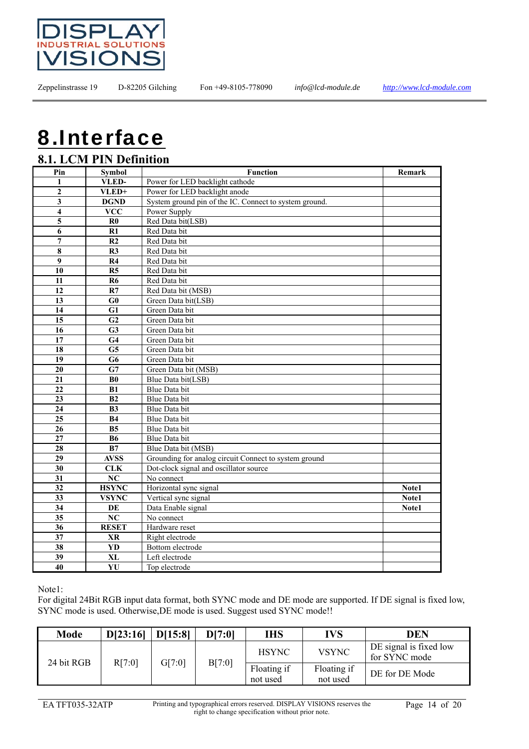

# 8.Interface

### **8.1. LCM PIN Definition** Pin Symbol **Function** Remark

| .                       | $\sim$ y movi          |                                                        |       |
|-------------------------|------------------------|--------------------------------------------------------|-------|
| 1                       | VLED-                  | Power for LED backlight cathode                        |       |
| $\boldsymbol{2}$        | VLED+                  | Power for LED backlight anode                          |       |
| 3                       | <b>DGND</b>            | System ground pin of the IC. Connect to system ground. |       |
| $\overline{\mathbf{4}}$ | <b>VCC</b>             | Power Supply                                           |       |
| $\overline{\mathbf{5}}$ | $\bf R0$               | Red Data bit(LSB)                                      |       |
| 6                       | R1                     | Red Data bit                                           |       |
| 7                       | R2                     | Red Data bit                                           |       |
| 8                       | R3                     | Red Data bit                                           |       |
| $\boldsymbol{9}$        | R <sub>4</sub>         | Red Data bit                                           |       |
| 10                      | R5                     | Red Data bit                                           |       |
| 11                      | R <sub>6</sub>         | Red Data bit                                           |       |
| 12                      | R7                     | Red Data bit (MSB)                                     |       |
| 13                      | G0                     | Green Data bit(LSB)                                    |       |
| 14                      | G1                     | Green Data bit                                         |       |
| 15                      | G <sub>2</sub>         | Green Data bit                                         |       |
| 16                      | G3                     | Green Data bit                                         |       |
| 17                      | G <sub>4</sub>         | Green Data bit                                         |       |
| 18                      | $\overline{\text{G5}}$ | Green Data bit                                         |       |
| 19                      | G <sub>6</sub>         | Green Data bit                                         |       |
| 20                      | G7                     | Green Data bit (MSB)                                   |       |
| 21                      | B <sub>0</sub>         | Blue Data bit(LSB)                                     |       |
| 22                      | B1                     | Blue Data bit                                          |       |
| 23                      | B <sub>2</sub>         | Blue Data bit                                          |       |
| 24                      | B <sub>3</sub>         | Blue Data bit                                          |       |
| $\overline{25}$         | <b>B4</b>              | Blue Data bit                                          |       |
| 26                      | B <sub>5</sub>         | Blue Data bit                                          |       |
| 27                      | <b>B6</b>              | Blue Data bit                                          |       |
| 28                      | B7                     | Blue Data bit (MSB)                                    |       |
| 29                      | <b>AVSS</b>            | Grounding for analog circuit Connect to system ground  |       |
| 30                      | <b>CLK</b>             | Dot-clock signal and oscillator source                 |       |
| 31                      | $\overline{\text{NC}}$ | No connect                                             |       |
| 32                      | <b>HSYNC</b>           | Horizontal sync signal                                 | Note1 |
| 33                      | <b>VSYNC</b>           | Vertical sync signal                                   | Note1 |
| 34                      | DE                     | Data Enable signal                                     | Note1 |
| 35                      | NC                     | No connect                                             |       |
| $\overline{36}$         | <b>RESET</b>           | Hardware reset                                         |       |
| 37                      | <b>XR</b>              | Right electrode                                        |       |
| 38                      | <b>YD</b>              | Bottom electrode                                       |       |
| 39                      | X <sub>L</sub>         | Left electrode                                         |       |
| 40                      | YU                     | Top electrode                                          |       |
|                         |                        |                                                        |       |

#### Note1:

For digital 24Bit RGB input data format, both SYNC mode and DE mode are supported. If DE signal is fixed low, SYNC mode is used. Otherwise,DE mode is used. Suggest used SYNC mode!!

| <b>Mode</b> | D[23:16] | D[15:8] | D[7:0] | IHS                     | IVS                     | DEN                                     |
|-------------|----------|---------|--------|-------------------------|-------------------------|-----------------------------------------|
| 24 bit RGB  |          | G[7:0]  |        | <b>HSYNC</b>            | <b>VSYNC</b>            | DE signal is fixed low<br>for SYNC mode |
|             | R[7:0]   |         | B[7:0] | Floating if<br>not used | Floating if<br>not used | DE for DE Mode                          |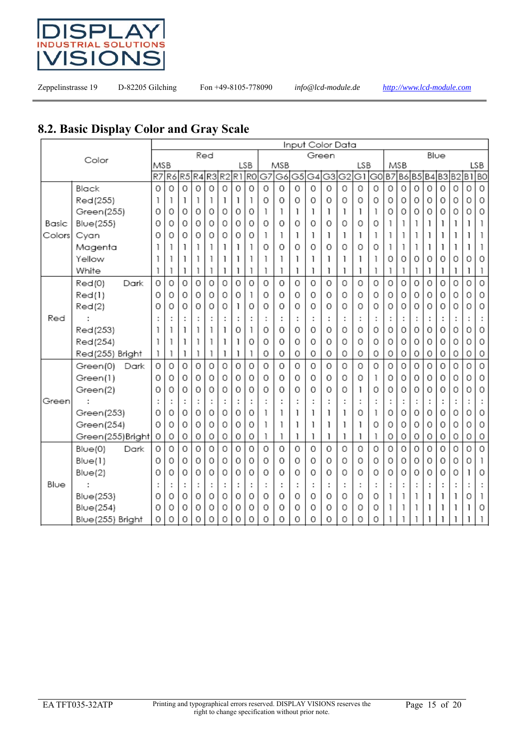

### **8.2. Basic Display Color and Gray Scale**

|        |                   |     |    |                |     |          |    |    |                | Input Color Data |     |                |                      |                |                |     |                |           |          |                |          |      |                |    |                |
|--------|-------------------|-----|----|----------------|-----|----------|----|----|----------------|------------------|-----|----------------|----------------------|----------------|----------------|-----|----------------|-----------|----------|----------------|----------|------|----------------|----|----------------|
|        | Color             |     |    |                | Red |          |    |    |                |                  |     |                | Green                |                |                |     |                |           |          |                |          | Blue |                |    |                |
|        |                   | MSB |    |                |     |          |    |    | LSB            |                  | MSB |                |                      |                |                | LSB |                |           | MSB      |                |          |      |                |    | LSB            |
|        |                   | R7  | R6 | R <sub>5</sub> | R4  | R3       | R2 | R1 | R <sub>0</sub> | G7               | G6  | G <sub>5</sub> | G4                   | G <sub>3</sub> | G <sub>2</sub> | GI  | G <sub>0</sub> | <b>B7</b> | B6       | B <sub>5</sub> | B4B3     |      | B <sub>2</sub> | B1 | B <sub>O</sub> |
|        | Black             | 0   | 0  | 0              | 0   | 0        | 0  | 0  | 0              | 0                | 0   | 0              | 0                    | 0              | 0              | 0   | 0              | 0         | 0        | 0              | $\Omega$ | 0    | 0              | 0  | $\circ$        |
|        | Red(255)          |     | 1  | 1              | 1   | 1        | 1  | 1  | 1              | 0                | 0   | 0              | 0                    | 0              | 0              | 0   | 0              | 0         | 0        | 0              | 0        | 0    | 0              | 0  | 0              |
|        | Green(255)        | 0   | 0  | 0              | 0   | 0        | 0  | 0  | 0              | 1                | 1   | 1              | 1                    | 1              | 1              | L   |                | 0         | 0        | 0              | 0        | 0    | 0              | 0  | 0              |
| Basic  | <b>Blue(255)</b>  | 0   | 0  | 0              | 0   | 0        | 0  | 0  | 0              | 0                | 0   | 0              | 0                    | 0              | 0              | 0   | 0              | ı         | 1        | 1              | 1        |      |                | 1  |                |
| Colors | Cyan              | 0   | 0  | 0              | 0   | 0        | 0  | 0  | 0              | 1                | 1   | 1              | 1                    | 1              | 1              | ı   | 1              | 1         | 1        | 1              | 1        | 1    | 1              | 1  |                |
|        | Magenta           |     |    | 1              | 1   | 1        | 1  | 1  | 1              | 0                | 0   | 0              | 0                    | 0              | 0              | 0   | 0              | 1         | 1        | 1              | 1        | 1    | 1              | 1  |                |
|        | Yellow            |     |    | 1              | 1   | 1        | ı  | 1  | 1              | 1                | 1   | 1              | 1                    | 1              | 1              | ı   |                | 0         | $\Omega$ | 0              | 0        | 0    | 0              | 0  | 0              |
|        | White             |     |    | 1              | 1   | 1        | 1  | 1  | 1              | 1                | 1   | 1              | 1                    | 1              | 1              | 1   |                | 1         | 1        | 1              | 1        | 1    | 1              | 1  | 1              |
|        | Red(0)<br>Dark    | 0   | 0  | 0              | 0   | 0        | 0  | 0  | 0              | 0                | 0   | 0              | 0                    | 0              | 0              | 0   | 0              | 0         | 0        | 0              | 0        | 0    | 0              | 0  | 0              |
|        | Red(1)            | 0   | 0  | 0              | 0   | 0        | 0  | 0  | 1              | 0                | 0   | 0              | 0                    | 0              | 0              | 0   | 0              | 0         | 0        | 0              | 0        | 0    | 0              | 0  | 0              |
|        | Red(2)            | 0   | 0  | 0              | 0   | 0        | 0  | 1  | 0              | 0                | 0   | 0              | 0                    | 0              | 0              | 0   | 0              | 0         | 0        | 0              | 0        | 0    | 0              | 0  | 0              |
| Red    |                   |     |    | ÷              | ÷   |          |    |    | :              |                  | ÷   |                | ÷                    | ÷              | t              | t   |                | t         | ÷        |                |          |      |                | t  |                |
|        | Red(253)          |     | 1  | 1              | 1   | 1        | 1  | 0  | 1              | 0                | 0   | 0              | 0                    | 0              | 0              | 0   | 0              | 0         | 0        | 0              | 0        | 0    | 0              | 0  | 0              |
|        | Red(254)          |     |    | 1              | 1   |          |    | 1  | 0              | 0                | 0   | 0              | Ω                    | 0              | 0              | 0   | 0              | 0         | 0        | 0              | 0        | 0    | 0              | 0  | 0              |
|        | Red(255) Bright   |     | 1  | 1              | 1   | 1        | 1  | 1  | 1              | 0                | 0   | 0              | 0                    | 0              | 0              | 0   | 0              | 0         | 0        | 0              | 0        | 0    | 0              | 0  | 0              |
|        | Green(0)<br>Dark  | 0   | 0  | 0              | 0   | $\Omega$ | 0  | 0  | 0              | 0                | 0   | 0              | 0                    | 0              | $\Omega$       | 0   | Ο              | 0         | 0        | $\Omega$       | Ο        | 0    | O              | 0  | 0              |
|        | Green(1)          | 0   | 0  | O              | 0   | 0        | 0  | 0  | 0              | 0                | 0   | 0              | Ο                    | 0              | 0              | 0   | 1              | 0         | 0        | 0              | 0        | 0    | 0              | 0  | 0              |
|        | Green(2)          | 0   | 0  | 0              | 0   | 0        | 0  | 0  | 0              | 0                | 0   | 0              | 0                    | 0              | 0              | ı   | 0              | 0         | 0        | 0              | 0        | 0    | 0              | 0  | 0              |
| Green  |                   |     |    | ÷              | ÷   |          |    |    | :              |                  | ÷   | ÷              | $\ddot{\phantom{a}}$ | ÷              | t              | t   |                | t         | ÷        |                |          |      | t              | t  |                |
|        | Green(253)        | 0   | 0  | 0              | 0   | 0        | 0  | 0  | 0              | 1                | 1   | 1              | 1                    | 1              | 1              | 0   |                | 0         | 0        | 0              | 0        | 0    | 0              | 0  | 0              |
|        | Green(254)        | 0   | 0  | 0              | 0   | 0        | 0  | 0  | 0              | 1                | 1   | 1              | 1                    | 1              | 1              | 1   | 0              | 0         | $\Omega$ | 0              | 0        | O    | 0              | 0  | 0              |
|        | Green(255)Bright  | 0   | 0  | 0              | 0   | 0        | 0  | 0  | 0              | 1                | 1   | 1              | 1                    | 1              | 1              | 1   | ı              | 0         | 0        | 0              | 0        | 0    | 0              | 0  | 0              |
|        | Blue(0)<br>Dark   | 0   | 0  | 0              | 0   | 0        | 0  | 0  | 0              | $\Omega$         | 0   | 0              | 0                    | 0              | 0              | 0   | 0              | 0         | Ō        | 0              | 0        | 0    | 0              | 0  | $\overline{0}$ |
|        | Blue(1)           | 0   | 0  | 0              | 0   | 0        | 0  | 0  | 0              | 0                | 0   | 0              | 0                    | 0              | 0              | 0   | 0              | 0         | 0        | 0              | 0        | 0    | 0              | 0  | 1              |
|        | Blue(2)           | 0   | 0  | 0              | 0   | 0        | 0  | 0  | 0              | 0                | 0   | 0              | 0                    | 0              | 0              | 0   | 0              | 0         | 0        | 0              | 0        | 0    | 0              | 1  | 0              |
| Blue   |                   |     |    | :              | ÷   |          |    |    | ÷              |                  | ÷   |                | ÷                    | ÷              | ÷              | ÷   |                |           | t        |                |          |      |                |    |                |
|        | <b>Blue(253)</b>  | 0   | 0  | 0              | 0   | 0        | 0  | 0  | 0              | 0                | 0   | 0              | 0                    | 0              | 0              | 0   | 0              | 1         | 1        | 1              | 1        | 1    | 1              | 0  |                |
|        | <b>Blue</b> (254) | 0   | 0  | 0              | 0   | 0        | 0  | 0  | 0              | 0                | 0   | 0              | 0                    | 0              | 0              | 0   | 0              |           | 1        | 1              | 1        |      |                | 1  | 0              |
|        | Blue(255) Bright  | 0   | 0  | 0              | 0   | 0        | 0  | 0  | 0              | 0                | 0   | 0              | 0                    | 0              | 0              | 0   | 0              |           |          |                |          |      |                | 1  |                |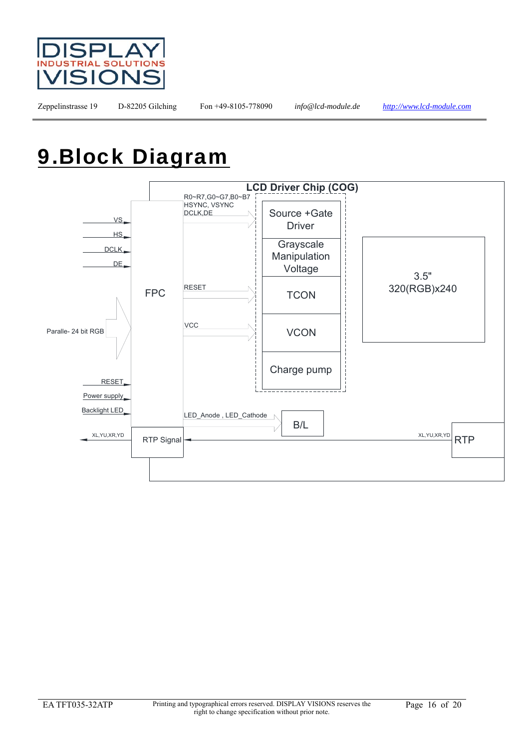

## 9.Block Diagram

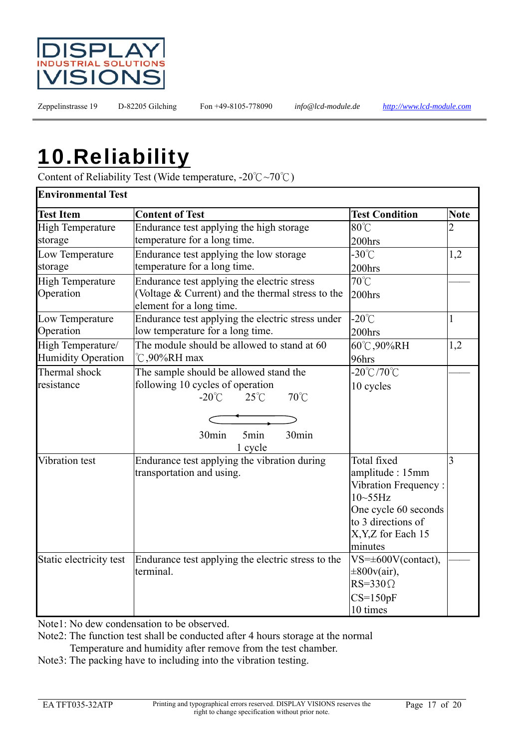

## 10.Reliability

Content of Reliability Test (Wide temperature, -20℃~70℃)

| <b>Environmental Test</b> |                                                                                         |                                                                                                                                                      |                |  |
|---------------------------|-----------------------------------------------------------------------------------------|------------------------------------------------------------------------------------------------------------------------------------------------------|----------------|--|
| <b>Test Item</b>          | <b>Content of Test</b>                                                                  | <b>Test Condition</b>                                                                                                                                | <b>Note</b>    |  |
| <b>High Temperature</b>   | Endurance test applying the high storage                                                | 80°C                                                                                                                                                 | $\overline{2}$ |  |
| storage                   | temperature for a long time.                                                            | 200hrs                                                                                                                                               |                |  |
| Low Temperature           | Endurance test applying the low storage                                                 | $-30^{\circ}$ C                                                                                                                                      | 1,2            |  |
| storage                   | temperature for a long time.                                                            | 200hrs                                                                                                                                               |                |  |
| <b>High Temperature</b>   | Endurance test applying the electric stress                                             | 70°C                                                                                                                                                 |                |  |
| Operation                 | (Voltage & Current) and the thermal stress to the<br>element for a long time.           | $200$ hrs                                                                                                                                            |                |  |
| Low Temperature           | Endurance test applying the electric stress under                                       | $-20^{\circ}$ C                                                                                                                                      | $\mathbf{1}$   |  |
| Operation                 | low temperature for a long time.                                                        | 200hrs                                                                                                                                               |                |  |
| High Temperature/         | The module should be allowed to stand at 60                                             | 60℃,90%RH                                                                                                                                            | 1,2            |  |
| <b>Humidity Operation</b> | $\degree$ C,90%RH max                                                                   | 96hrs                                                                                                                                                |                |  |
| Thermal shock             | The sample should be allowed stand the                                                  | $-20^{\circ}$ C/70 $^{\circ}$ C                                                                                                                      |                |  |
| resistance                | following 10 cycles of operation<br>$70^{\circ}$ C<br>$-20^{\circ}$ C<br>$25^{\circ}$ C | 10 cycles                                                                                                                                            |                |  |
|                           |                                                                                         |                                                                                                                                                      |                |  |
|                           | 5min<br>30min<br>30min<br>1 cycle                                                       |                                                                                                                                                      |                |  |
| Vibration test            | Endurance test applying the vibration during<br>transportation and using.               | Total fixed<br>amplitude: 15mm<br>Vibration Frequency:<br>$10-55$ Hz<br>One cycle 60 seconds<br>to 3 directions of<br>X, Y, Z for Each 15<br>minutes | 3              |  |
| Static electricity test   | Endurance test applying the electric stress to the<br>terminal.                         | $VS=\pm 600V$ (contact),<br>$\pm 800v(air)$ ,<br>$RS = 330 \Omega$<br>$CS=150pF$<br>10 times                                                         |                |  |

Note1: No dew condensation to be observed.

Note2: The function test shall be conducted after 4 hours storage at the normal Temperature and humidity after remove from the test chamber.

Note3: The packing have to including into the vibration testing.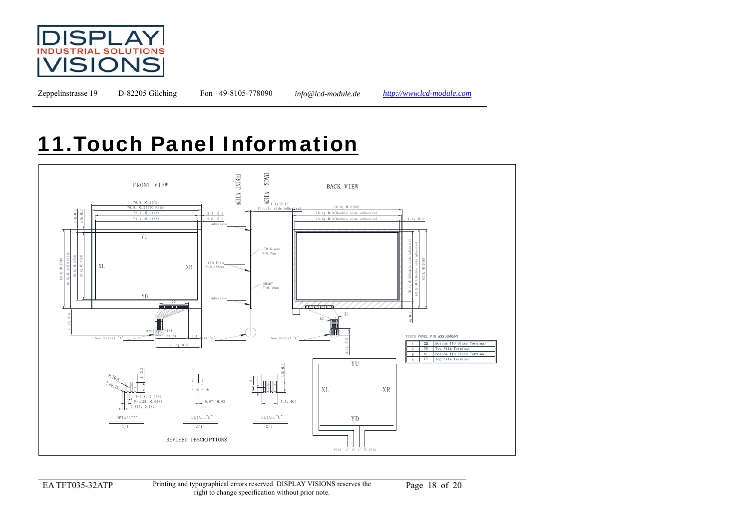

### 11.Touch Panel Information



EA TFT035-32ATP Printing and typographical errors reserved. DISPLAY VISIONS reserves the ypographical errors reserved. DISPLAY VISIONS reserves the Page 18 of 20 right to change specification without prior note.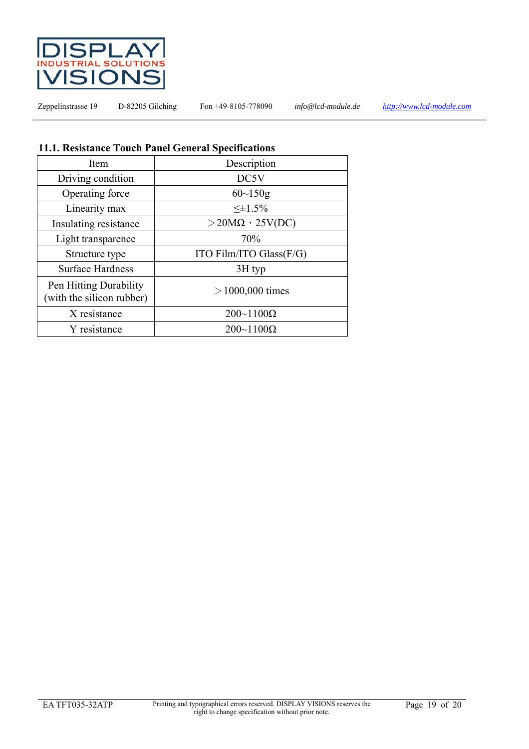

#### **11.1. Resistance Touch Panel General Specifications**

| Item                                                | Description                |  |
|-----------------------------------------------------|----------------------------|--|
| Driving condition                                   | DC5V                       |  |
| Operating force                                     | $60 \sim 150$ g            |  |
| Linearity max                                       | $\leq \pm 1.5\%$           |  |
| Insulating resistance                               | $>$ 20M $\Omega$ , 25V(DC) |  |
| Light transparence                                  | 70%                        |  |
| Structure type                                      | ITO Film/ITO Glass $(F/G)$ |  |
| <b>Surface Hardness</b>                             | $3H$ typ                   |  |
| Pen Hitting Durability<br>(with the silicon rubber) | $>1000,000$ times          |  |
| X resistance                                        | $200 - 1100 \Omega$        |  |
| Y resistance                                        | $200 - 1100 \Omega$        |  |